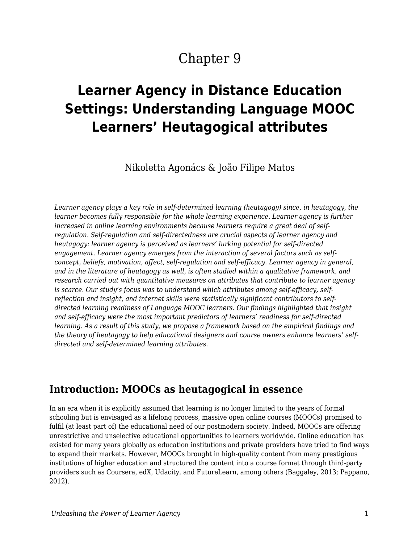# Chapter 9

# **Learner Agency in Distance Education Settings: Understanding Language MOOC Learners' Heutagogical attributes**

Nikoletta Agonács & João Filipe Matos

*Learner agency plays a key role in self-determined learning (heutagogy) since, in heutagogy, the learner becomes fully responsible for the whole learning experience. Learner agency is further increased in online learning environments because learners require a great deal of selfregulation. Self-regulation and self-directedness are crucial aspects of learner agency and heutagogy: learner agency is perceived as learners' lurking potential for self-directed engagement. Learner agency emerges from the interaction of several factors such as selfconcept, beliefs, motivation, affect, self-regulation and self-efficacy. Learner agency in general, and in the literature of heutagogy as well, is often studied within a qualitative framework, and research carried out with quantitative measures on attributes that contribute to learner agency is scarce. Our study's focus was to understand which attributes among self-efficacy, selfreflection and insight, and internet skills were statistically significant contributors to selfdirected learning readiness of Language MOOC learners. Our findings highlighted that insight and self-efficacy were the most important predictors of learners' readiness for self-directed learning. As a result of this study, we propose a framework based on the empirical findings and the theory of heutagogy to help educational designers and course owners enhance learners' selfdirected and self-determined learning attributes.*

### **Introduction: MOOCs as heutagogical in essence**

In an era when it is explicitly assumed that learning is no longer limited to the years of formal schooling but is envisaged as a lifelong process, massive open online courses (MOOCs) promised to fulfil (at least part of) the educational need of our postmodern society. Indeed, MOOCs are offering unrestrictive and unselective educational opportunities to learners worldwide. Online education has existed for many years globally as education institutions and private providers have tried to find ways to expand their markets. However, MOOCs brought in high-quality content from many prestigious institutions of higher education and structured the content into a course format through third-party providers such as Coursera, edX, Udacity, and FutureLearn, among others (Baggaley, 2013; Pappano, 2012).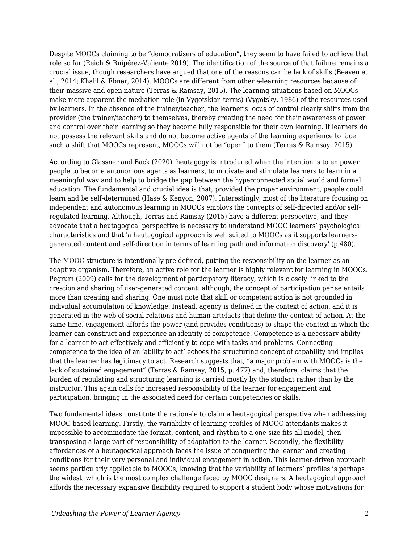Despite MOOCs claiming to be "democratisers of education", they seem to have failed to achieve that role so far (Reich & Ruipérez-Valiente 2019). The identification of the source of that failure remains a crucial issue, though researchers have argued that one of the reasons can be lack of skills (Beaven et al., 2014; Khalil & Ebner, 2014). MOOCs are different from other e-learning resources because of their massive and open nature (Terras & Ramsay, 2015). The learning situations based on MOOCs make more apparent the mediation role (in Vygotskian terms) (Vygotsky, 1986) of the resources used by learners. In the absence of the trainer/teacher, the learner's locus of control clearly shifts from the provider (the trainer/teacher) to themselves, thereby creating the need for their awareness of power and control over their learning so they become fully responsible for their own learning. If learners do not possess the relevant skills and do not become active agents of the learning experience to face such a shift that MOOCs represent, MOOCs will not be "open" to them (Terras & Ramsay, 2015).

According to Glassner and Back (2020), heutagogy is introduced when the intention is to empower people to become autonomous agents as learners, to motivate and stimulate learners to learn in a meaningful way and to help to bridge the gap between the hyperconnected social world and formal education. The fundamental and crucial idea is that, provided the proper environment, people could learn and be self-determined (Hase & Kenyon, 2007). Interestingly, most of the literature focusing on independent and autonomous learning in MOOCs employs the concepts of self-directed and/or selfregulated learning. Although, Terras and Ramsay (2015) have a different perspective, and they advocate that a heutagogical perspective is necessary to understand MOOC learners' psychological characteristics and that 'a heutagogical approach is well suited to MOOCs as it supports learnersgenerated content and self-direction in terms of learning path and information discovery' (p.480).

The MOOC structure is intentionally pre-defined, putting the responsibility on the learner as an adaptive organism. Therefore, an active role for the learner is highly relevant for learning in MOOCs. Pegrum (2009) calls for the development of participatory literacy, which is closely linked to the creation and sharing of user-generated content: although, the concept of participation per se entails more than creating and sharing. One must note that skill or competent action is not grounded in individual accumulation of knowledge. Instead, agency is defined in the context of action, and it is generated in the web of social relations and human artefacts that define the context of action. At the same time, engagement affords the power (and provides conditions) to shape the context in which the learner can construct and experience an identity of competence. Competence is a necessary ability for a learner to act effectively and efficiently to cope with tasks and problems. Connecting competence to the idea of an 'ability to act' echoes the structuring concept of capability and implies that the learner has legitimacy to act. Research suggests that, "a major problem with MOOCs is the lack of sustained engagement" (Terras & Ramsay, 2015, p. 477) and, therefore, claims that the burden of regulating and structuring learning is carried mostly by the student rather than by the instructor. This again calls for increased responsibility of the learner for engagement and participation, bringing in the associated need for certain competencies or skills.

Two fundamental ideas constitute the rationale to claim a heutagogical perspective when addressing MOOC-based learning. Firstly, the variability of learning profiles of MOOC attendants makes it impossible to accommodate the format, content, and rhythm to a one-size-fits-all model, then transposing a large part of responsibility of adaptation to the learner. Secondly, the flexibility affordances of a heutagogical approach faces the issue of conquering the learner and creating conditions for their very personal and individual engagement in action. This learner-driven approach seems particularly applicable to MOOCs, knowing that the variability of learners' profiles is perhaps the widest, which is the most complex challenge faced by MOOC designers. A heutagogical approach affords the necessary expansive flexibility required to support a student body whose motivations for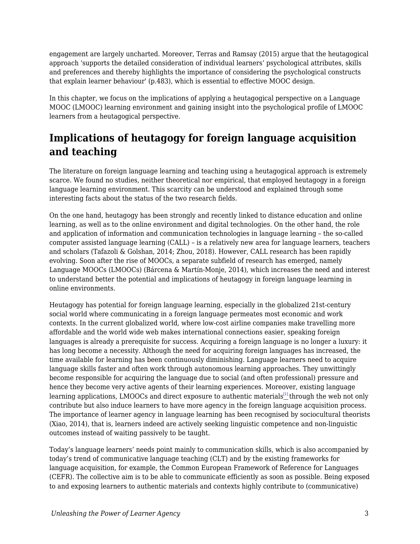engagement are largely uncharted. Moreover, Terras and Ramsay (2015) argue that the heutagogical approach 'supports the detailed consideration of individual learners' psychological attributes, skills and preferences and thereby highlights the importance of considering the psychological constructs that explain learner behaviour' (p.483), which is essential to effective MOOC design.

In this chapter, we focus on the implications of applying a heutagogical perspective on a Language MOOC (LMOOC) learning environment and gaining insight into the psychological profile of LMOOC learners from a heutagogical perspective.

## **Implications of heutagogy for foreign language acquisition and teaching**

The literature on foreign language learning and teaching using a heutagogical approach is extremely scarce. We found no studies, neither theoretical nor empirical, that employed heutagogy in a foreign language learning environment. This scarcity can be understood and explained through some interesting facts about the status of the two research fields.

On the one hand, heutagogy has been strongly and recently linked to distance education and online learning, as well as to the online environment and digital technologies. On the other hand, the role and application of information and communication technologies in language learning – the so-called computer assisted language learning (CALL) – is a relatively new area for language learners, teachers and scholars (Tafazoli & Golshan, 2014; Zhou, 2018). However, CALL research has been rapidly evolving. Soon after the rise of MOOCs, a separate subfield of research has emerged, namely Language MOOCs (LMOOCs) (Bárcena & Martín-Monje, 2014), which increases the need and interest to understand better the potential and implications of heutagogy in foreign language learning in online environments.

Heutagogy has potential for foreign language learning, especially in the globalized 21st-century social world where communicating in a foreign language permeates most economic and work contexts. In the current globalized world, where low-cost airline companies make travelling more affordable and the world wide web makes international connections easier, speaking foreign languages is already a prerequisite for success. Acquiring a foreign language is no longer a luxury: it has long become a necessity. Although the need for acquiring foreign languages has increased, the time available for learning has been continuously diminishing. Language learners need to acquire language skills faster and often work through autonomous learning approaches. They unwittingly become responsible for acquiring the language due to social (and often professional) pressure and hence they become very active agents of their learning experiences. Moreover, existing language learning applications, LMOOCs and direct exposure to authentic materials<sup>[\[1\]](#page-9-0)</sup>through the web not only contribute but also induce learners to have more agency in the foreign language acquisition process. The importance of learner agency in language learning has been recognised by sociocultural theorists (Xiao, 2014), that is, learners indeed are actively seeking linguistic competence and non-linguistic outcomes instead of waiting passively to be taught.

<span id="page-2-0"></span>Today's language learners' needs point mainly to communication skills, which is also accompanied by today's trend of communicative language teaching (CLT) and by the existing frameworks for language acquisition, for example, the Common European Framework of Reference for Languages (CEFR). The collective aim is to be able to communicate efficiently as soon as possible. Being exposed to and exposing learners to authentic materials and contexts highly contribute to (communicative)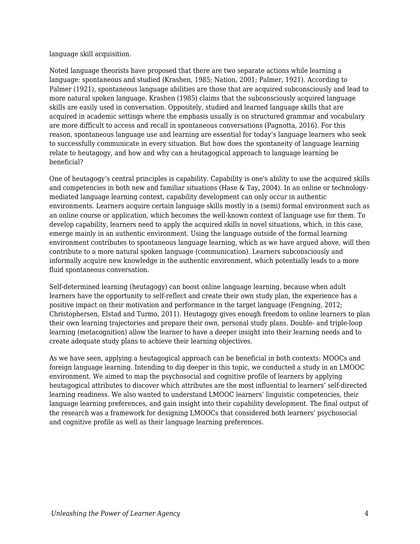#### language skill acquisition.

Noted language theorists have proposed that there are two separate actions while learning a language: spontaneous and studied (Krashen, 1985; Nation, 2001; Palmer, 1921). According to Palmer (1921), spontaneous language abilities are those that are acquired subconsciously and lead to more natural spoken language. Krashen (1985) claims that the subconsciously acquired language skills are easily used in conversation. Oppositely, studied and learned language skills that are acquired in academic settings where the emphasis usually is on structured grammar and vocabulary are more difficult to access and recall in spontaneous conversations (Pagnotta, 2016). For this reason, spontaneous language use and learning are essential for today's language learners who seek to successfully communicate in every situation. But how does the spontaneity of language learning relate to heutagogy, and how and why can a heutagogical approach to language learning be beneficial?

One of heutagogy's central principles is capability. Capability is one's ability to use the acquired skills and competencies in both new and familiar situations (Hase & Tay, 2004). In an online or technologymediated language learning context, capability development can only occur in authentic environments. Learners acquire certain language skills mostly in a (semi) formal environment such as an online course or application, which becomes the well-known context of language use for them. To develop capability, learners need to apply the acquired skills in novel situations, which, in this case, emerge mainly in an authentic environment. Using the language outside of the formal learning environment contributes to spontaneous language learning, which as we have argued above, will then contribute to a more natural spoken language (communication). Learners subconsciously and informally acquire new knowledge in the authentic environment, which potentially leads to a more fluid spontaneous conversation.

Self-determined learning (heutagogy) can boost online language learning, because when adult learners have the opportunity to self-reflect and create their own study plan, the experience has a positive impact on their motivation and performance in the target language (Fengning, 2012; Christophersen, Elstad and Turmo, 2011). Heutagogy gives enough freedom to online learners to plan their own learning trajectories and prepare their own, personal study plans. Double- and triple-loop learning (metacognition) allow the learner to have a deeper insight into their learning needs and to create adequate study plans to achieve their learning objectives.

As we have seen, applying a heutagogical approach can be beneficial in both contexts: MOOCs and foreign language learning. Intending to dig deeper in this topic, we conducted a study in an LMOOC environment. We aimed to map the psychosocial and cognitive profile of learners by applying heutagogical attributes to discover which attributes are the most influential to learners' self-directed learning readiness. We also wanted to understand LMOOC learners' linguistic competencies, their language learning preferences, and gain insight into their capability development. The final output of the research was a framework for designing LMOOCs that considered both learners' psychosocial and cognitive profile as well as their language learning preferences.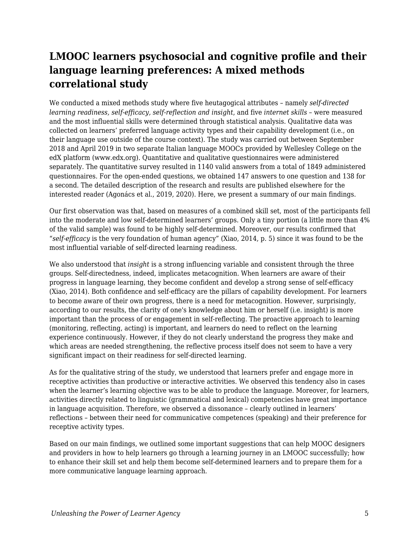## **LMOOC learners psychosocial and cognitive profile and their language learning preferences: A mixed methods correlational study**

We conducted a mixed methods study where five heutagogical attributes – namely *self-directed learning readiness, self-efficacy, self-reflection and insight*, and five *internet skills* – were measured and the most influential skills were determined through statistical analysis. Qualitative data was collected on learners' preferred language activity types and their capability development (i.e., on their language use outside of the course context). The study was carried out between September 2018 and April 2019 in two separate Italian language MOOCs provided by Wellesley College on the edX platform (www.edx.org). Quantitative and qualitative questionnaires were administered separately. The quantitative survey resulted in 1140 valid answers from a total of 1849 administered questionnaires. For the open-ended questions, we obtained 147 answers to one question and 138 for a second. The detailed description of the research and results are published elsewhere for the interested reader (Agonács et al., 2019, 2020). Here, we present a summary of our main findings.

Our first observation was that, based on measures of a combined skill set, most of the participants fell into the moderate and low self-determined learners' groups. Only a tiny portion (a little more than 4% of the valid sample) was found to be highly self-determined. Moreover, our results confirmed that "*self-efficacy* is the very foundation of human agency" (Xiao, 2014, p. 5) since it was found to be the most influential variable of self-directed learning readiness.

We also understood that *insight* is a strong influencing variable and consistent through the three groups. Self-directedness, indeed, implicates metacognition. When learners are aware of their progress in language learning, they become confident and develop a strong sense of self-efficacy (Xiao, 2014). Both confidence and self-efficacy are the pillars of capability development. For learners to become aware of their own progress, there is a need for metacognition. However, surprisingly, according to our results, the clarity of one's knowledge about him or herself (i.e. insight) is more important than the process of or engagement in self-reflecting. The proactive approach to learning (monitoring, reflecting, acting) is important, and learners do need to reflect on the learning experience continuously. However, if they do not clearly understand the progress they make and which areas are needed strengthening, the reflective process itself does not seem to have a very significant impact on their readiness for self-directed learning.

As for the qualitative string of the study, we understood that learners prefer and engage more in receptive activities than productive or interactive activities. We observed this tendency also in cases when the learner's learning objective was to be able to produce the language. Moreover, for learners, activities directly related to linguistic (grammatical and lexical) competencies have great importance in language acquisition. Therefore, we observed a dissonance – clearly outlined in learners' reflections – between their need for communicative competences (speaking) and their preference for receptive activity types.

Based on our main findings, we outlined some important suggestions that can help MOOC designers and providers in how to help learners go through a learning journey in an LMOOC successfully; how to enhance their skill set and help them become self-determined learners and to prepare them for a more communicative language learning approach.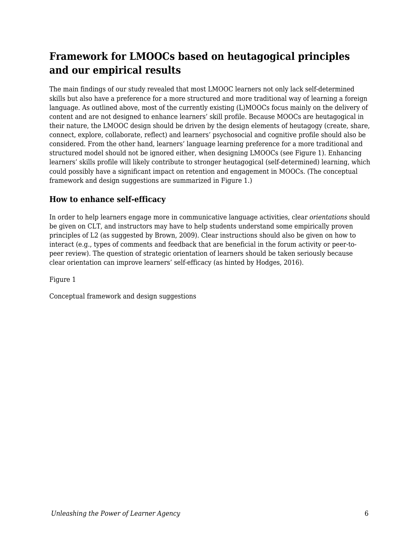# **Framework for LMOOCs based on heutagogical principles and our empirical results**

The main findings of our study revealed that most LMOOC learners not only lack self-determined skills but also have a preference for a more structured and more traditional way of learning a foreign language. As outlined above, most of the currently existing (L)MOOCs focus mainly on the delivery of content and are not designed to enhance learners' skill profile. Because MOOCs are heutagogical in their nature, the LMOOC design should be driven by the design elements of heutagogy (create, share, connect, explore, collaborate, reflect) and learners' psychosocial and cognitive profile should also be considered. From the other hand, learners' language learning preference for a more traditional and structured model should not be ignored either, when designing LMOOCs (see Figure 1). Enhancing learners' skills profile will likely contribute to stronger heutagogical (self-determined) learning, which could possibly have a significant impact on retention and engagement in MOOCs. (The conceptual framework and design suggestions are summarized in Figure 1.)

### **How to enhance self-efficacy**

In order to help learners engage more in communicative language activities, clear *orientations* should be given on CLT, and instructors may have to help students understand some empirically proven principles of L2 (as suggested by Brown, 2009). Clear instructions should also be given on how to interact (e.g., types of comments and feedback that are beneficial in the forum activity or peer-topeer review). The question of strategic orientation of learners should be taken seriously because clear orientation can improve learners' self-efficacy (as hinted by Hodges, 2016).

Figure 1

Conceptual framework and design suggestions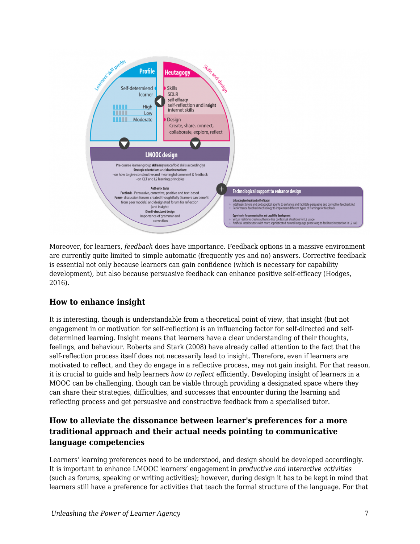

Moreover, for learners, *feedback* does have importance. Feedback options in a massive environment are currently quite limited to simple automatic (frequently yes and no) answers. Corrective feedback is essential not only because learners can gain confidence (which is necessary for capability development), but also because persuasive feedback can enhance positive self-efficacy (Hodges, 2016).

#### **How to enhance insight**

It is interesting, though is understandable from a theoretical point of view, that insight (but not engagement in or motivation for self-reflection) is an influencing factor for self-directed and selfdetermined learning. Insight means that learners have a clear understanding of their thoughts, feelings, and behaviour. Roberts and Stark (2008) have already called attention to the fact that the self-reflection process itself does not necessarily lead to insight. Therefore, even if learners are motivated to reflect, and they do engage in a reflective process, may not gain insight. For that reason, it is crucial to guide and help learners *how to reflect* efficiently. Developing insight of learners in a MOOC can be challenging, though can be viable through providing a designated space where they can share their strategies, difficulties, and successes that encounter during the learning and reflecting process and get persuasive and constructive feedback from a specialised tutor.

### **How to alleviate the dissonance between learner's preferences for a more traditional approach and their actual needs pointing to communicative language competencies**

Learners' learning preferences need to be understood, and design should be developed accordingly. It is important to enhance LMOOC learners' engagement in *productive and interactive activities* (such as forums, speaking or writing activities); however, during design it has to be kept in mind that learners still have a preference for activities that teach the formal structure of the language. For that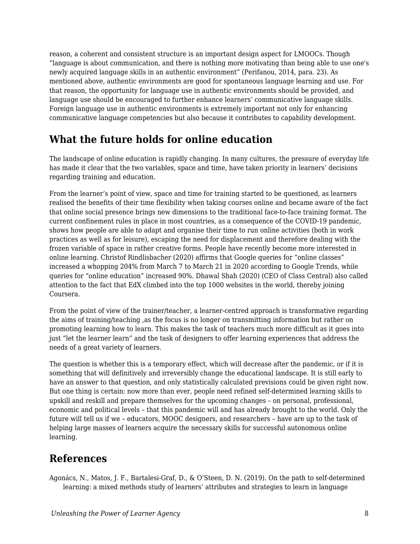reason, a coherent and consistent structure is an important design aspect for LMOOCs. Though "language is about communication, and there is nothing more motivating than being able to use one's newly acquired language skills in an authentic environment" (Perifanou, 2014, para. 23). As mentioned above, authentic environments are good for spontaneous language learning and use. For that reason, the opportunity for language use in authentic environments should be provided, and language use should be encouraged to further enhance learners' communicative language skills. Foreign language use in authentic environments is extremely important not only for enhancing communicative language competencies but also because it contributes to capability development.

### **What the future holds for online education**

The landscape of online education is rapidly changing. In many cultures, the pressure of everyday life has made it clear that the two variables, space and time, have taken priority in learners' decisions regarding training and education.

From the learner's point of view, space and time for training started to be questioned, as learners realised the benefits of their time flexibility when taking courses online and became aware of the fact that online social presence brings new dimensions to the traditional face-to-face training format. The current confinement rules in place in most countries, as a consequence of the COVID-19 pandemic, shows how people are able to adapt and organise their time to run online activities (both in work practices as well as for leisure), escaping the need for displacement and therefore dealing with the frozen variable of space in rather creative forms. People have recently become more interested in online learning. Christof Rindlisbacher (2020) affirms that Google queries for "online classes" increased a whopping 204% from March 7 to March 21 in 2020 according to Google Trends, while queries for "online education" increased 90%. Dhawal Shah (2020) (CEO of Class Central) also called attention to the fact that EdX climbed into the top 1000 websites in the world, thereby joining Coursera.

From the point of view of the trainer/teacher, a learner-centred approach is transformative regarding the aims of training/teaching ,as the focus is no longer on transmitting information but rather on promoting learning how to learn. This makes the task of teachers much more difficult as it goes into just "let the learner learn" and the task of designers to offer learning experiences that address the needs of a great variety of learners.

The question is whether this is a temporary effect, which will decrease after the pandemic, or if it is something that will definitively and irreversibly change the educational landscape. It is still early to have an answer to that question, and only statistically calculated previsions could be given right now. But one thing is certain: now more than ever, people need refined self-determined learning skills to upskill and reskill and prepare themselves for the upcoming changes – on personal, professional, economic and political levels – that this pandemic will and has already brought to the world. Only the future will tell us if we – educators, MOOC designers, and researchers – have are up to the task of helping large masses of learners acquire the necessary skills for successful autonomous online learning.

### **References**

Agonács, N., Matos, J. F., Bartalesi-Graf, D., & O'Steen, D. N. (2019). On the path to self-determined learning: a mixed methods study of learners' attributes and strategies to learn in language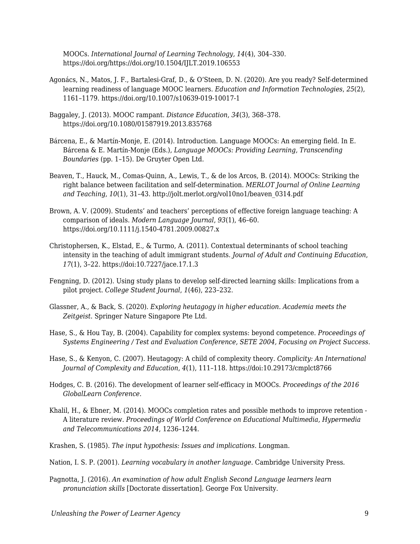MOOCs. *International Journal of Learning Technology, 14*(4), 304–330. https://doi.org/https://doi.org/10.1504/IJLT.2019.106553

- Agonács, N., Matos, J. F., Bartalesi-Graf, D., & O'Steen, D. N. (2020). Are you ready? Self-determined learning readiness of language MOOC learners. *Education and Information Technologies*, *25*(2), 1161–1179. https://doi.org/10.1007/s10639-019-10017-1
- Baggaley, J. (2013). MOOC rampant. *Distance Education*, *34*(3), 368–378. https://doi.org/10.1080/01587919.2013.835768
- Bárcena, E., & Martín-Monje, E. (2014). Introduction. Language MOOCs: An emerging field. In E. Bárcena & E. Martín-Monje (Eds.), *Language MOOCs: Providing Learning, Transcending Boundaries* (pp. 1–15). De Gruyter Open Ltd.
- Beaven, T., Hauck, M., Comas-Quinn, A., Lewis, T., & de los Arcos, B. (2014). MOOCs: Striking the right balance between facilitation and self-determination. *MERLOT Journal of Online Learning and Teaching*, *10*(1), 31–43. http://jolt.merlot.org/vol10no1/beaven\_0314.pdf
- Brown, A. V. (2009). Students' and teachers' perceptions of effective foreign language teaching: A comparison of ideals. *Modern Language Journal*, *93*(1), 46–60. https://doi.org/10.1111/j.1540-4781.2009.00827.x
- Christophersen, K., Elstad, E., & Turmo, A. (2011). Contextual determinants of school teaching intensity in the teaching of adult immigrant students. *Journal of Adult and Continuing Education*, *17*(1), 3–22. https://doi:10.7227/jace.17.1.3
- Fengning, D. (2012). Using study plans to develop self-directed learning skills: Implications from a pilot project. *College Student Journal*, *1*(46), 223–232.
- Glassner, A., & Back, S. (2020). *Exploring heutagogy in higher education. Academia meets the Zeitgeist*. Springer Nature Singapore Pte Ltd.
- Hase, S., & Hou Tay, B. (2004). Capability for complex systems: beyond competence. *Proceedings of Systems Engineering / Test and Evaluation Conference, SETE 2004, Focusing on Project Success*.
- Hase, S., & Kenyon, C. (2007). Heutagogy: A child of complexity theory. *Complicity: An International Journal of Complexity and Education*, *4*(1), 111–118. https://doi:10.29173/cmplct8766
- Hodges, C. B. (2016). The development of learner self-efficacy in MOOCs. *Proceedings of the 2016 GlobalLearn Conference*.
- Khalil, H., & Ebner, M. (2014). MOOCs completion rates and possible methods to improve retention A literature review. *Proceedings of World Conference on Educational Multimedia, Hypermedia and Telecommunications 2014*, 1236–1244.
- Krashen, S. (1985). *The input hypothesis: Issues and implications*. Longman.
- Nation, I. S. P. (2001). *Learning vocabulary in another language*. Cambridge University Press.
- Pagnotta, J. (2016). *An examination of how adult English Second Language learners learn pronunciation skills* [Doctorate dissertation]. George Fox University.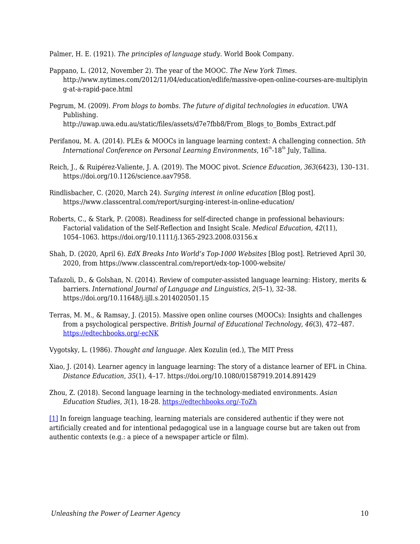Palmer, H. E. (1921). *The principles of language study*. World Book Company.

- Pappano, L. (2012, November 2). The year of the MOOC. *The New York Times*. http://www.nytimes.com/2012/11/04/education/edlife/massive-open-online-courses-are-multiplyin g-at-a-rapid-pace.html
- Pegrum, M. (2009). *From blogs to bombs. The future of digital technologies in education.* UWA Publishing. http://uwap.uwa.edu.au/static/files/assets/d7e7fbb8/From\_Blogs\_to\_Bombs\_Extract.pdf
- Perifanou, M. A. (2014). PLEs & MOOCs in language learning context: A challenging connection. *5th International Conference on Personal Learning Environments*, 16<sup>th</sup>-18<sup>th</sup> July, Tallina.
- Reich, J., & Ruipérez-Valiente, J. A. (2019). The MOOC pivot. *Science Education, 363*(6423), 130–131. https://doi.org/10.1126/science.aav7958.
- Rindlisbacher, C. (2020, March 24). *Surging interest in online education* [Blog post]. https://www.classcentral.com/report/surging-interest-in-online-education/
- Roberts, C., & Stark, P. (2008). Readiness for self-directed change in professional behaviours: Factorial validation of the Self-Reflection and Insight Scale. *Medical Education*, *42*(11), 1054–1063. https://doi.org/10.1111/j.1365-2923.2008.03156.x
- Shah, D. (2020, April 6). *EdX Breaks Into World's Top-1000 Websites* [Blog post]. Retrieved April 30, 2020, from https://www.classcentral.com/report/edx-top-1000-website/
- Tafazoli, D., & Golshan, N. (2014). Review of computer-assisted language learning: History, merits & barriers. *International Journal of Language and Linguistics*, *2*(5–1), 32–38. https://doi.org/10.11648/j.ijll.s.2014020501.15
- Terras, M. M., & Ramsay, J. (2015). Massive open online courses (MOOCs): Insights and challenges from a psychological perspective. *British Journal of Educational Technology*, *46*(3), 472–487. [https://edtechbooks.org/-ecNK](https://doi.org/10.1111/bjet.12274)
- Vygotsky, L. (1986). *Thought and language*. Alex Kozulin (ed.), The MIT Press
- Xiao, J. (2014). Learner agency in language learning: The story of a distance learner of EFL in China. *Distance Education*, *35*(1), 4–17. https://doi.org/10.1080/01587919.2014.891429
- Zhou, Z. (2018). Second language learning in the technology-mediated environments. *Asian Education Studies*, *3*(1), 18-28. [https://edtechbooks.org/-ToZh](https://doi.org/10.20849/aes.v3i1.307)

<span id="page-9-0"></span>[\[1\]](#page-2-0) In foreign language teaching, learning materials are considered authentic if they were not artificially created and for intentional pedagogical use in a language course but are taken out from authentic contexts (e.g.: a piece of a newspaper article or film).